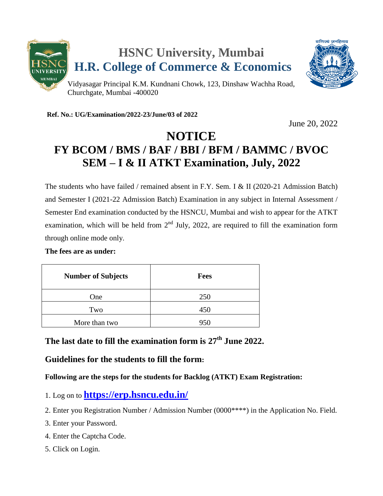

**Ref. No.: UG/Examination/2022-23/June/03 of 2022**

June 20, 2022

# **NOTICE FY BCOM / BMS / BAF / BBI / BFM / BAMMC / BVOC SEM – I & II ATKT Examination, July, 2022**

The students who have failed / remained absent in F.Y. Sem. I & II (2020-21 Admission Batch) and Semester I (2021-22 Admission Batch) Examination in any subject in Internal Assessment / Semester End examination conducted by the HSNCU, Mumbai and wish to appear for the ATKT examination, which will be held from  $2<sup>nd</sup>$  July, 2022, are required to fill the examination form through online mode only.

#### **The fees are as under:**

| <b>Number of Subjects</b> | <b>Fees</b> |
|---------------------------|-------------|
| One                       | 250         |
| Two                       | 450         |
| More than two             | 950         |

# **The last date to fill the examination form is 27 th June 2022.**

## **Guidelines for the students to fill the form:**

### **Following are the steps for the students for Backlog (ATKT) Exam Registration:**

- 1. Log on to **<https://erp.hsncu.edu.in/>**
- 2. Enter you Registration Number / Admission Number (0000\*\*\*\*) in the Application No. Field.
- 3. Enter your Password.
- 4. Enter the Captcha Code.
- 5. Click on Login.